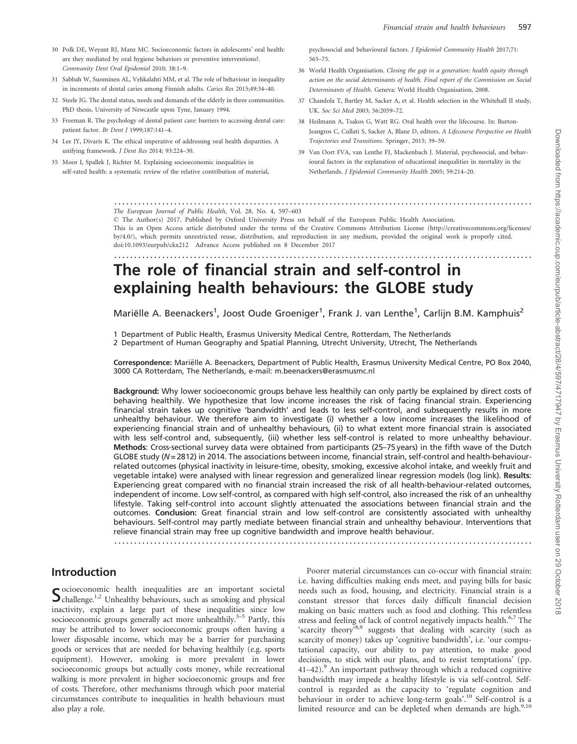- 30 Polk DE, Weyant RJ, Manz MC. Socioeconomic factors in adolescents' oral health: are they mediated by oral hygiene behaviors or preventive interventions?. Community Dent Oral Epidemiol 2010; 38:1–9.
- 31 Sabbah W, Suominen AL, Vehkalahti MM, et al. The role of behaviour in inequality in increments of dental caries among Finnish adults. Caries Res 2015;49:34–40.
- 32 Steele JG. The dental status, needs and demands of the elderly in three communities. PhD thesis, University of Newcastle upon Tyne, January 1994.
- 33 Freeman R. The psychology of dental patient care: barriers to accessing dental care: patient factor. Br Dent J 1999;187:141–4.
- 34 Lee JY, Divaris K. The ethical imperative of addressing oral health disparities. A unifying framework. J Dent Res 2014; 93:224–30.
- 35 Moor I, Spallek J, Richter M. Explaining socioeconomic inequalities in self-rated health: a systematic review of the relative contribution of material,

psychosocial and behavioural factors. J Epidemiol Community Health 2017;71: 565–75.

- 36 World Health Organisation. Closing the gap in a generation: health equity through action on the social determinants of health. Final report of the Commission on Social Determinants of Health. Geneva: World Health Organisation, 2008.
- 37 Chandola T, Bartley M, Sacker A, et al. Health selection in the Whitehall II study, UK. Soc Sci Med 2003; 56:2059–72.
- 38 Heilmann A, Tsakos G, Watt RG. Oral health over the lifecourse. In: Burton-Jeangros C, Cullati S, Sacker A, Blane D, editors. A Lifecourse Perspective on Health Trajectories and Transitions. Springer, 2015; 39–59.
- 39 Van Oort FVA, van Lenthe FJ, Mackenbach J. Material, psychosocial, and behavioural factors in the explanation of educational inequalities in mortality in the Netherlands. J Epidemiol Community Health 2005; 59:214–20.

......................................................................................................... The European Journal of Public Health, Vol. 28, No. 4, 597–603

- The Author(s) 2017. Published by Oxford University Press on behalf of the European Public Health Association. This is an Open Access article distributed under the terms of the Creative Commons Attribution License (http://creativecommons.org/licenses/ by/4.0/), which permits unrestricted reuse, distribution, and reproduction in any medium, provided the original work is properly cited. doi:10.1093/eurpub/ckx212 Advance Access published on 8 December 2017

.........................................................................................................

# The role of financial strain and self-control in explaining health behaviours: the GLOBE study

Mariëlle A. Beenackers<sup>1</sup>, Joost Oude Groeniger<sup>1</sup>, Frank J. van Lenthe<sup>1</sup>, Carlijn B.M. Kamphuis<sup>2</sup>

1 Department of Public Health, Erasmus University Medical Centre, Rotterdam, The Netherlands 2 Department of Human Geography and Spatial Planning, Utrecht University, Utrecht, The Netherlands

Correspondence: Mariëlle A. Beenackers, Department of Public Health, Erasmus University Medical Centre, PO Box 2040, 3000 CA Rotterdam, The Netherlands, e-mail: m.beenackers@erasmusmc.nl

Background: Why lower socioeconomic groups behave less healthily can only partly be explained by direct costs of behaving healthily. We hypothesize that low income increases the risk of facing financial strain. Experiencing financial strain takes up cognitive 'bandwidth' and leads to less self-control, and subsequently results in more unhealthy behaviour. We therefore aim to investigate (i) whether a low income increases the likelihood of experiencing financial strain and of unhealthy behaviours, (ii) to what extent more financial strain is associated with less self-control and, subsequently, (iii) whether less self-control is related to more unhealthy behaviour. Methods: Cross-sectional survey data were obtained from participants (25–75 years) in the fifth wave of the Dutch GLOBE study (N = 2812) in 2014. The associations between income, financial strain, self-control and health-behaviourrelated outcomes (physical inactivity in leisure-time, obesity, smoking, excessive alcohol intake, and weekly fruit and vegetable intake) were analysed with linear regression and generalized linear regression models (log link). Results: Experiencing great compared with no financial strain increased the risk of all health-behaviour-related outcomes, independent of income. Low self-control, as compared with high self-control, also increased the risk of an unhealthy lifestyle. Taking self-control into account slightly attenuated the associations between financial strain and the outcomes. Conclusion: Great financial strain and low self-control are consistently associated with unhealthy behaviours. Self-control may partly mediate between financial strain and unhealthy behaviour. Interventions that relieve financial strain may free up cognitive bandwidth and improve health behaviour.

.........................................................................................................

### Introduction

 $S$ ocioeconomic health inequalities are an important societal  $S$ challenge.<sup>1,2</sup> Unhealthy behaviours, such as smoking and physical inactivity, explain a large part of these inequalities since low socioeconomic groups generally act more unhealthily.<sup>3-5</sup> Partly, this may be attributed to lower socioeconomic groups often having a lower disposable income, which may be a barrier for purchasing goods or services that are needed for behaving healthily (e.g. sports equipment). However, smoking is more prevalent in lower socioeconomic groups but actually costs money, while recreational walking is more prevalent in higher socioeconomic groups and free of costs. Therefore, other mechanisms through which poor material circumstances contribute to inequalities in health behaviours must also play a role.

Poorer material circumstances can co-occur with financial strain: i.e. having difficulties making ends meet, and paying bills for basic needs such as food, housing, and electricity. Financial strain is a constant stressor that forces daily difficult financial decision making on basic matters such as food and clothing. This relentless stress and feeling of lack of control negatively impacts health.<sup>6,7</sup> The 'scarcity theory'8,9 suggests that dealing with scarcity (such as scarcity of money) takes up 'cognitive bandwidth', i.e. 'our computational capacity, our ability to pay attention, to make good decisions, to stick with our plans, and to resist temptations' (pp.  $41-42$ ).<sup>9</sup> An important pathway through which a reduced cognitive bandwidth may impede a healthy lifestyle is via self-control. Selfcontrol is regarded as the capacity to 'regulate cognition and behaviour in order to achieve long-term goals'.<sup>10</sup> Self-control is a limited resource and can be depleted when demands are high.<sup>9,10</sup>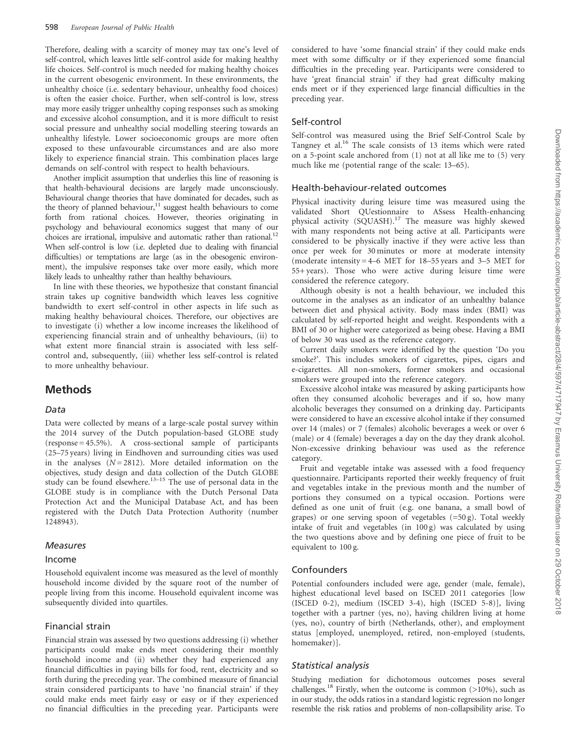Therefore, dealing with a scarcity of money may tax one's level of self-control, which leaves little self-control aside for making healthy life choices. Self-control is much needed for making healthy choices in the current obesogenic environment. In these environments, the unhealthy choice (i.e. sedentary behaviour, unhealthy food choices) is often the easier choice. Further, when self-control is low, stress may more easily trigger unhealthy coping responses such as smoking and excessive alcohol consumption, and it is more difficult to resist social pressure and unhealthy social modelling steering towards an unhealthy lifestyle. Lower socioeconomic groups are more often exposed to these unfavourable circumstances and are also more likely to experience financial strain. This combination places large demands on self-control with respect to health behaviours.

Another implicit assumption that underlies this line of reasoning is that health-behavioural decisions are largely made unconsciously. Behavioural change theories that have dominated for decades, such as the theory of planned behaviour,<sup>11</sup> suggest health behaviours to come forth from rational choices. However, theories originating in psychology and behavioural economics suggest that many of our choices are irrational, impulsive and automatic rather than rational.<sup>12</sup> When self-control is low (i.e. depleted due to dealing with financial difficulties) or temptations are large (as in the obesogenic environment), the impulsive responses take over more easily, which more likely leads to unhealthy rather than healthy behaviours.

In line with these theories, we hypothesize that constant financial strain takes up cognitive bandwidth which leaves less cognitive bandwidth to exert self-control in other aspects in life such as making healthy behavioural choices. Therefore, our objectives are to investigate (i) whether a low income increases the likelihood of experiencing financial strain and of unhealthy behaviours, (ii) to what extent more financial strain is associated with less selfcontrol and, subsequently, (iii) whether less self-control is related to more unhealthy behaviour.

### Methods

#### Data

Data were collected by means of a large-scale postal survey within the 2014 survey of the Dutch population-based GLOBE study (response = 45.5%). A cross-sectional sample of participants (25–75 years) living in Eindhoven and surrounding cities was used in the analyses  $(N = 2812)$ . More detailed information on the objectives, study design and data collection of the Dutch GLOBE study can be found elsewhere.<sup>13-15</sup> The use of personal data in the GLOBE study is in compliance with the Dutch Personal Data Protection Act and the Municipal Database Act, and has been registered with the Dutch Data Protection Authority (number 1248943).

#### Measures

#### Income

Household equivalent income was measured as the level of monthly household income divided by the square root of the number of people living from this income. Household equivalent income was subsequently divided into quartiles.

#### Financial strain

Financial strain was assessed by two questions addressing (i) whether participants could make ends meet considering their monthly household income and (ii) whether they had experienced any financial difficulties in paying bills for food, rent, electricity and so forth during the preceding year. The combined measure of financial strain considered participants to have 'no financial strain' if they could make ends meet fairly easy or easy or if they experienced no financial difficulties in the preceding year. Participants were

considered to have 'some financial strain' if they could make ends meet with some difficulty or if they experienced some financial difficulties in the preceding year. Participants were considered to have 'great financial strain' if they had great difficulty making ends meet or if they experienced large financial difficulties in the preceding year.

### Self-control

Self-control was measured using the Brief Self-Control Scale by Tangney et al.<sup>16</sup> The scale consists of 13 items which were rated on a 5-point scale anchored from (1) not at all like me to (5) very much like me (potential range of the scale: 13–65).

#### Health-behaviour-related outcomes

Physical inactivity during leisure time was measured using the validated Short QUestionnaire to ASsess Health-enhancing physical activity (SQUASH).<sup>17</sup> The measure was highly skewed with many respondents not being active at all. Participants were considered to be physically inactive if they were active less than once per week for 30 minutes or more at moderate intensity (moderate intensity = 4–6 MET for 18–55 years and 3–5 MET for 55+ years). Those who were active during leisure time were considered the reference category.

Although obesity is not a health behaviour, we included this outcome in the analyses as an indicator of an unhealthy balance between diet and physical activity. Body mass index (BMI) was calculated by self-reported height and weight. Respondents with a BMI of 30 or higher were categorized as being obese. Having a BMI of below 30 was used as the reference category.

Current daily smokers were identified by the question 'Do you smoke?'. This includes smokers of cigarettes, pipes, cigars and e-cigarettes. All non-smokers, former smokers and occasional smokers were grouped into the reference category.

Excessive alcohol intake was measured by asking participants how often they consumed alcoholic beverages and if so, how many alcoholic beverages they consumed on a drinking day. Participants were considered to have an excessive alcohol intake if they consumed over 14 (males) or 7 (females) alcoholic beverages a week or over 6 (male) or 4 (female) beverages a day on the day they drank alcohol. Non-excessive drinking behaviour was used as the reference category.

Fruit and vegetable intake was assessed with a food frequency questionnaire. Participants reported their weekly frequency of fruit and vegetables intake in the previous month and the number of portions they consumed on a typical occasion. Portions were defined as one unit of fruit (e.g. one banana, a small bowl of grapes) or one serving spoon of vegetables (=50 g). Total weekly intake of fruit and vegetables (in 100 g) was calculated by using the two questions above and by defining one piece of fruit to be equivalent to 100 g.

### Confounders

Potential confounders included were age, gender (male, female), highest educational level based on ISCED 2011 categories [low (ISCED 0-2), medium (ISCED 3-4), high (ISCED 5-8)], living together with a partner (yes, no), having children living at home (yes, no), country of birth (Netherlands, other), and employment status [employed, unemployed, retired, non-employed (students, homemaker)].

### Statistical analysis

Studying mediation for dichotomous outcomes poses several challenges.<sup>18</sup> Firstly, when the outcome is common  $(>10\%)$ , such as in our study, the odds ratios in a standard logistic regression no longer resemble the risk ratios and problems of non-collapsibility arise. To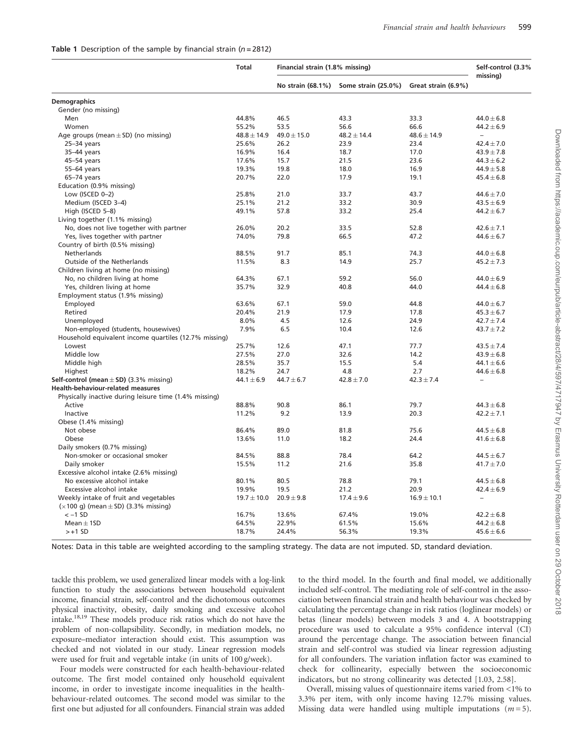#### Table 1 Description of the sample by financial strain ( $n = 2812$ )

|                                                                        | <b>Total</b>    | Financial strain (1.8% missing) | Self-control (3.3%                                        |                 |                          |  |
|------------------------------------------------------------------------|-----------------|---------------------------------|-----------------------------------------------------------|-----------------|--------------------------|--|
|                                                                        |                 |                                 | No strain (68.1%) Some strain (25.0%) Great strain (6.9%) |                 | missing)                 |  |
| <b>Demographics</b>                                                    |                 |                                 |                                                           |                 |                          |  |
| Gender (no missing)                                                    |                 |                                 |                                                           |                 |                          |  |
| Men                                                                    | 44.8%           | 46.5                            | 43.3                                                      | 33.3            | $44.0 \pm 6.8$           |  |
| Women                                                                  | 55.2%           | 53.5                            | 56.6                                                      | 66.6            | $44.2 \pm 6.9$           |  |
| Age groups (mean $\pm$ SD) (no missing)                                | $48.8 \pm 14.9$ | $49.0 \pm 15.0$                 | $48.2 \pm 14.4$                                           | $48.6 \pm 14.9$ | $\equiv$                 |  |
| $25-34$ years                                                          | 25.6%           | 26.2                            | 23.9                                                      | 23.4            | $42.4 \pm 7.0$           |  |
| 35-44 years                                                            | 16.9%           | 16.4                            | 18.7                                                      | 17.0            | $43.9 \pm 7.8$           |  |
| $45-54$ years                                                          | 17.6%           | 15.7                            | 21.5                                                      | 23.6            | $44.3 \pm 6.2$           |  |
| 55-64 years                                                            | 19.3%           | 19.8                            | 18.0                                                      | 16.9            | $44.9 \pm 5.8$           |  |
| $65-74$ years                                                          | 20.7%           | 22.0                            | 17.9                                                      | 19.1            | $45.4 \pm 6.8$           |  |
| Education (0.9% missing)                                               |                 |                                 |                                                           |                 |                          |  |
| Low (ISCED 0-2)                                                        | 25.8%           | 21.0                            | 33.7                                                      | 43.7            | $44.6 \pm 7.0$           |  |
| Medium (ISCED 3-4)                                                     | 25.1%           | 21.2                            | 33.2                                                      | 30.9            | $43.5 \pm 6.9$           |  |
| High (ISCED 5-8)                                                       | 49.1%           | 57.8                            | 33.2                                                      | 25.4            | $44.2 \pm 6.7$           |  |
| Living together (1.1% missing)                                         |                 |                                 |                                                           |                 |                          |  |
| No, does not live together with partner                                | 26.0%           | 20.2                            | 33.5                                                      | 52.8            | $42.6 \pm 7.1$           |  |
| Yes, lives together with partner                                       | 74.0%           | 79.8                            | 66.5                                                      | 47.2            | $44.6 \pm 6.7$           |  |
| Country of birth (0.5% missing)                                        |                 |                                 |                                                           |                 |                          |  |
| Netherlands                                                            | 88.5%           | 91.7                            | 85.1                                                      | 74.3            | $44.0 \pm 6.8$           |  |
| Outside of the Netherlands                                             | 11.5%           | 8.3                             | 14.9                                                      | 25.7            | $45.2 \pm 7.3$           |  |
| Children living at home (no missing)                                   |                 |                                 |                                                           |                 |                          |  |
| No, no children living at home                                         | 64.3%           | 67.1                            | 59.2                                                      | 56.0            | $44.0 \pm 6.9$           |  |
| Yes, children living at home                                           | 35.7%           | 32.9                            | 40.8                                                      | 44.0            | $44.4 \pm 6.8$           |  |
| Employment status (1.9% missing)                                       |                 |                                 |                                                           |                 |                          |  |
| Employed                                                               | 63.6%           | 67.1                            | 59.0                                                      | 44.8            | $44.0 \pm 6.7$           |  |
| Retired                                                                | 20.4%           | 21.9                            | 17.9                                                      | 17.8            | $45.3 \pm 6.7$           |  |
| Unemployed                                                             | 8.0%            | 4.5                             | 12.6                                                      | 24.9            | $42.7 \pm 7.4$           |  |
| Non-employed (students, housewives)                                    | 7.9%            | 6.5                             | 10.4                                                      | 12.6            | $43.7 \pm 7.2$           |  |
| Household equivalent income quartiles (12.7% missing)                  |                 |                                 |                                                           |                 |                          |  |
| Lowest                                                                 | 25.7%           | 12.6                            | 47.1                                                      | 77.7            | $43.5 \pm 7.4$           |  |
| Middle low                                                             | 27.5%           | 27.0                            | 32.6                                                      | 14.2            | $43.9 \pm 6.8$           |  |
| Middle high                                                            | 28.5%           | 35.7                            | 15.5                                                      | 5.4             | $44.1 \pm 6.6$           |  |
| Highest                                                                | 18.2%           | 24.7                            | 4.8                                                       | 2.7             | $44.6 \pm 6.8$           |  |
| Self-control (mean $\pm$ SD) (3.3% missing)                            | $44.1 \pm 6.9$  | $44.7 \pm 6.7$                  | $42.8 \pm 7.0$                                            | $42.3 \pm 7.4$  | ÷,                       |  |
| Health-behaviour-related measures                                      |                 |                                 |                                                           |                 |                          |  |
| Physically inactive during leisure time (1.4% missing)                 |                 |                                 |                                                           |                 |                          |  |
| Active                                                                 | 88.8%           | 90.8                            | 86.1                                                      | 79.7            | $44.3 \pm 6.8$           |  |
| Inactive                                                               | 11.2%           | 9.2                             | 13.9                                                      | 20.3            | $42.2 \pm 7.1$           |  |
| Obese (1.4% missing)                                                   |                 |                                 |                                                           |                 |                          |  |
| Not obese                                                              | 86.4%           | 89.0                            | 81.8                                                      | 75.6            | $44.5 \pm 6.8$           |  |
| Obese                                                                  | 13.6%           | 11.0                            | 18.2                                                      | 24.4            | $41.6 \pm 6.8$           |  |
| Daily smokers (0.7% missing)                                           |                 |                                 |                                                           |                 |                          |  |
| Non-smoker or occasional smoker                                        | 84.5%           | 88.8                            | 78.4                                                      | 64.2            | $44.5 \pm 6.7$           |  |
| Daily smoker                                                           | 15.5%           | 11.2                            | 21.6                                                      | 35.8            | $41.7 \pm 7.0$           |  |
|                                                                        |                 |                                 |                                                           |                 |                          |  |
| Excessive alcohol intake (2.6% missing)<br>No excessive alcohol intake |                 | 80.5                            | 78.8                                                      |                 |                          |  |
|                                                                        | 80.1%           |                                 |                                                           | 79.1            | $44.5 \pm 6.8$           |  |
| Excessive alcohol intake                                               | 19.9%           | 19.5                            | 21.2                                                      | 20.9            | $42.4 \pm 6.9$           |  |
| Weekly intake of fruit and vegetables                                  | $19.7 \pm 10.0$ | $20.9 \pm 9.8$                  | $17.4 \pm 9.6$                                            | $16.9 \pm 10.1$ | $\overline{\phantom{a}}$ |  |
| $(x100 q)$ (mean $\pm$ SD) (3.3% missing)                              |                 |                                 |                                                           |                 |                          |  |
| $<-1$ SD                                                               | 16.7%           | 13.6%                           | 67.4%                                                     | 19.0%           | $42.2 \pm 6.8$           |  |
| $Mean \pm 1SD$                                                         | 64.5%           | 22.9%                           | 61.5%                                                     | 15.6%           | $44.2 \pm 6.8$           |  |
| $> +1$ SD                                                              | 18.7%           | 24.4%                           | 56.3%                                                     | 19.3%           | $45.6 \pm 6.6$           |  |

Notes: Data in this table are weighted according to the sampling strategy. The data are not imputed. SD, standard deviation.

tackle this problem, we used generalized linear models with a log-link function to study the associations between household equivalent income, financial strain, self-control and the dichotomous outcomes physical inactivity, obesity, daily smoking and excessive alcohol intake.18,19 These models produce risk ratios which do not have the problem of non-collapsibility. Secondly, in mediation models, no exposure–mediator interaction should exist. This assumption was checked and not violated in our study. Linear regression models were used for fruit and vegetable intake (in units of 100 g/week).

Four models were constructed for each health-behaviour-related outcome. The first model contained only household equivalent income, in order to investigate income inequalities in the healthbehaviour-related outcomes. The second model was similar to the first one but adjusted for all confounders. Financial strain was added to the third model. In the fourth and final model, we additionally included self-control. The mediating role of self-control in the association between financial strain and health behaviour was checked by calculating the percentage change in risk ratios (loglinear models) or betas (linear models) between models 3 and 4. A bootstrapping procedure was used to calculate a 95% confidence interval (CI) around the percentage change. The association between financial strain and self-control was studied via linear regression adjusting for all confounders. The variation inflation factor was examined to check for collinearity, especially between the socioeconomic indicators, but no strong collinearity was detected [1.03, 2.58].

Overall, missing values of questionnaire items varied from <1% to 3.3% per item, with only income having 12.7% missing values. Missing data were handled using multiple imputations  $(m=5)$ .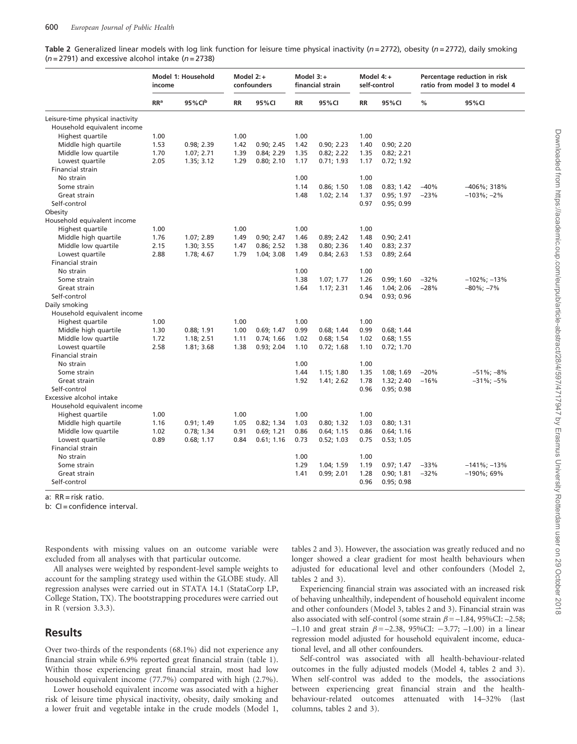Table 2 Generalized linear models with log link function for leisure time physical inactivity (n = 2772), obesity (n = 2772), daily smoking  $(n = 2791)$  and excessive alcohol intake  $(n = 2738)$ 

|                                  | Model 1: Household<br>income |                    | Model $2:+$<br>confounders |            | Model $3:+$<br>financial strain |            | Model 4:+<br>self-control |            | Percentage reduction in risk<br>ratio from model 3 to model 4 |                 |
|----------------------------------|------------------------------|--------------------|----------------------------|------------|---------------------------------|------------|---------------------------|------------|---------------------------------------------------------------|-----------------|
|                                  | RR <sup>a</sup>              | 95%Cl <sup>b</sup> | <b>RR</b>                  | 95%CI      | <b>RR</b>                       | 95%CI      | <b>RR</b>                 | 95%CI      | $\%$                                                          | 95%CI           |
| Leisure-time physical inactivity |                              |                    |                            |            |                                 |            |                           |            |                                                               |                 |
| Household equivalent income      |                              |                    |                            |            |                                 |            |                           |            |                                                               |                 |
| Highest quartile                 | 1.00                         |                    | 1.00                       |            | 1.00                            |            | 1.00                      |            |                                                               |                 |
| Middle high quartile             | 1.53                         | 0.98; 2.39         | 1.42                       | 0.90; 2.45 | 1.42                            | 0.90; 2.23 | 1.40                      | 0.90; 2.20 |                                                               |                 |
| Middle low quartile              | 1.70                         | 1.07; 2.71         | 1.39                       | 0.84; 2.29 | 1.35                            | 0.82; 2.22 | 1.35                      | 0.82; 2.21 |                                                               |                 |
| Lowest quartile                  | 2.05                         | 1.35; 3.12         | 1.29                       | 0.80; 2.10 | 1.17                            | 0.71; 1.93 | 1.17                      | 0.72; 1.92 |                                                               |                 |
| <b>Financial strain</b>          |                              |                    |                            |            |                                 |            |                           |            |                                                               |                 |
| No strain                        |                              |                    |                            |            | 1.00                            |            | 1.00                      |            |                                                               |                 |
| Some strain                      |                              |                    |                            |            | 1.14                            | 0.86; 1.50 | 1.08                      | 0.83; 1.42 | $-40%$                                                        | $-406\%; 318\%$ |
| Great strain                     |                              |                    |                            |            | 1.48                            | 1.02; 2.14 | 1.37                      | 0.95; 1.97 | $-23%$                                                        | $-103\%; -2\%$  |
| Self-control                     |                              |                    |                            |            |                                 |            | 0.97                      | 0.95; 0.99 |                                                               |                 |
| Obesity                          |                              |                    |                            |            |                                 |            |                           |            |                                                               |                 |
| Household equivalent income      |                              |                    |                            |            |                                 |            |                           |            |                                                               |                 |
| Highest quartile                 | 1.00                         |                    | 1.00                       |            | 1.00                            |            | 1.00                      |            |                                                               |                 |
| Middle high quartile             | 1.76                         | 1.07; 2.89         | 1.49                       | 0.90; 2.47 | 1.46                            | 0.89; 2.42 | 1.48                      | 0.90; 2.41 |                                                               |                 |
| Middle low quartile              | 2.15                         | 1.30; 3.55         | 1.47                       | 0.86; 2.52 | 1.38                            | 0.80; 2.36 | 1.40                      | 0.83; 2.37 |                                                               |                 |
| Lowest quartile                  | 2.88                         | 1.78; 4.67         | 1.79                       | 1.04; 3.08 | 1.49                            | 0.84; 2.63 | 1.53                      | 0.89; 2.64 |                                                               |                 |
| <b>Financial strain</b>          |                              |                    |                            |            |                                 |            |                           |            |                                                               |                 |
| No strain                        |                              |                    |                            |            | 1.00                            |            | 1.00                      |            |                                                               |                 |
| Some strain                      |                              |                    |                            |            | 1.38                            | 1.07; 1.77 | 1.26                      | 0.99; 1.60 | $-32%$                                                        | $-102\%; -13\%$ |
| Great strain                     |                              |                    |                            |            | 1.64                            | 1.17; 2.31 | 1.46                      | 1.04; 2.06 | $-28%$                                                        | $-80\%; -7\%$   |
| Self-control                     |                              |                    |                            |            |                                 |            | 0.94                      | 0.93; 0.96 |                                                               |                 |
| Daily smoking                    |                              |                    |                            |            |                                 |            |                           |            |                                                               |                 |
| Household equivalent income      |                              |                    |                            |            |                                 |            |                           |            |                                                               |                 |
| Highest quartile                 | 1.00                         |                    | 1.00                       |            | 1.00                            |            | 1.00                      |            |                                                               |                 |
| Middle high quartile             | 1.30                         | 0.88; 1.91         | 1.00                       | 0.69; 1.47 | 0.99                            | 0.68; 1.44 | 0.99                      | 0.68; 1.44 |                                                               |                 |
| Middle low quartile              | 1.72                         | 1.18; 2.51         | 1.11                       | 0.74; 1.66 | 1.02                            | 0.68; 1.54 | 1.02                      | 0.68; 1.55 |                                                               |                 |
| Lowest quartile                  | 2.58                         | 1.81; 3.68         | 1.38                       | 0.93; 2.04 | 1.10                            | 0.72; 1.68 | 1.10                      | 0.72; 1.70 |                                                               |                 |
| Financial strain                 |                              |                    |                            |            |                                 |            |                           |            |                                                               |                 |
| No strain                        |                              |                    |                            |            | 1.00                            |            | 1.00                      |            |                                                               |                 |
| Some strain                      |                              |                    |                            |            | 1.44                            | 1.15; 1.80 | 1.35                      | 1.08; 1.69 | $-20%$                                                        | $-51\%; -8\%$   |
| Great strain                     |                              |                    |                            |            | 1.92                            | 1.41; 2.62 | 1.78                      | 1.32; 2.40 | $-16%$                                                        | $-31\%; -5\%$   |
| Self-control                     |                              |                    |                            |            |                                 |            | 0.96                      | 0.95; 0.98 |                                                               |                 |
| Excessive alcohol intake         |                              |                    |                            |            |                                 |            |                           |            |                                                               |                 |
| Household equivalent income      |                              |                    |                            |            |                                 |            |                           |            |                                                               |                 |
| Highest quartile                 | 1.00                         |                    | 1.00                       |            | 1.00                            |            | 1.00                      |            |                                                               |                 |
| Middle high quartile             | 1.16                         | 0.91; 1.49         | 1.05                       | 0.82; 1.34 | 1.03                            | 0.80; 1.32 | 1.03                      | 0.80; 1.31 |                                                               |                 |
| Middle low quartile              | 1.02                         | 0.78; 1.34         | 0.91                       | 0.69; 1.21 | 0.86                            | 0.64; 1.15 | 0.86                      | 0.64; 1.16 |                                                               |                 |
| Lowest quartile                  | 0.89                         | 0.68; 1.17         | 0.84                       | 0.61; 1.16 | 0.73                            | 0.52; 1.03 | 0.75                      | 0.53; 1.05 |                                                               |                 |
| <b>Financial strain</b>          |                              |                    |                            |            |                                 |            |                           |            |                                                               |                 |
| No strain                        |                              |                    |                            |            | 1.00                            |            | 1.00                      |            |                                                               |                 |
| Some strain                      |                              |                    |                            |            | 1.29                            | 1.04; 1.59 | 1.19                      | 0.97; 1.47 | $-33%$                                                        | $-141\%; -13\%$ |
| Great strain                     |                              |                    |                            |            | 1.41                            | 0.99; 2.01 | 1.28                      | 0.90; 1.81 | $-32%$                                                        | $-190\%$ ; 69%  |
| Self-control                     |                              |                    |                            |            |                                 |            | 0.96                      | 0.95; 0.98 |                                                               |                 |

a: RR = risk ratio.

b: CI = confidence interval.

Respondents with missing values on an outcome variable were excluded from all analyses with that particular outcome.

All analyses were weighted by respondent-level sample weights to account for the sampling strategy used within the GLOBE study. All regression analyses were carried out in STATA 14.1 (StataCorp LP, College Station, TX). The bootstrapping procedures were carried out in R (version 3.3.3).

### Results

Over two-thirds of the respondents (68.1%) did not experience any financial strain while 6.9% reported great financial strain (table 1). Within those experiencing great financial strain, most had low household equivalent income (77.7%) compared with high (2.7%).

Lower household equivalent income was associated with a higher risk of leisure time physical inactivity, obesity, daily smoking and a lower fruit and vegetable intake in the crude models (Model 1,

tables 2 and 3). However, the association was greatly reduced and no longer showed a clear gradient for most health behaviours when adjusted for educational level and other confounders (Model 2, tables 2 and 3).

Experiencing financial strain was associated with an increased risk of behaving unhealthily, independent of household equivalent income and other confounders (Model 3, tables 2 and 3). Financial strain was also associated with self-control (some strain  $\beta = -1.84$ , 95%CI: -2.58;  $-1.10$  and great strain  $\beta = -2.38$ , 95%CI:  $-3.77$ ;  $-1.00$ ) in a linear regression model adjusted for household equivalent income, educational level, and all other confounders.

Self-control was associated with all health-behaviour-related outcomes in the fully adjusted models (Model 4, tables 2 and 3). When self-control was added to the models, the associations between experiencing great financial strain and the healthbehaviour-related outcomes attenuated with 14–32% (last columns, tables 2 and 3).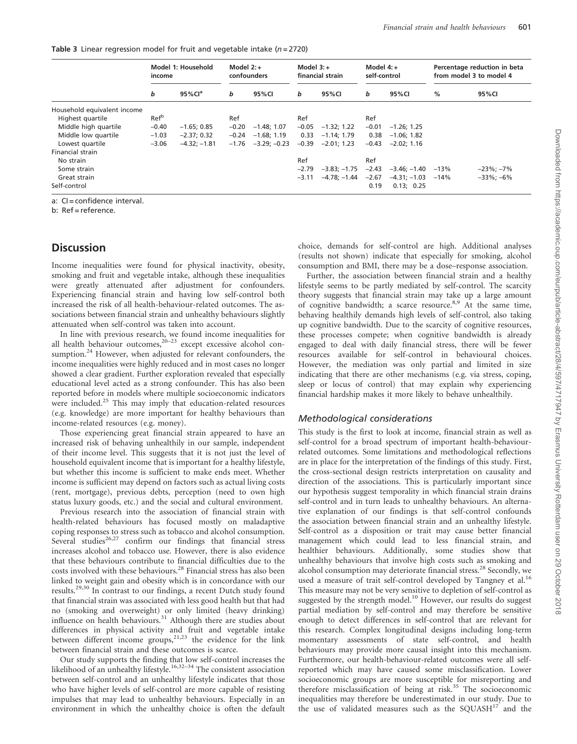Table 3 Linear regression model for fruit and vegetable intake  $(n=2720)$ 

|                             | Model 1: Household<br>income |                        | Model $2:+$<br>confounders |                | Model $3:+$<br>financial strain |                | Model $4:+$<br>self-control |                | Percentage reduction in beta<br>from model 3 to model 4 |               |
|-----------------------------|------------------------------|------------------------|----------------------------|----------------|---------------------------------|----------------|-----------------------------|----------------|---------------------------------------------------------|---------------|
|                             | b                            | $95\%$ Cl <sup>a</sup> | b                          | 95%CI          | b                               | 95%CI          | b                           | 95%CI          | %                                                       | 95%CI         |
| Household equivalent income |                              |                        |                            |                |                                 |                |                             |                |                                                         |               |
| Highest quartile            | Ref <sup>b</sup>             |                        | Ref                        |                | Ref                             |                | Ref                         |                |                                                         |               |
| Middle high quartile        | $-0.40$                      | $-1.65; 0.85$          | $-0.20$                    | $-1.48:1.07$   | $-0.05$                         | $-1.32:1.22$   | $-0.01$                     | $-1.26; 1.25$  |                                                         |               |
| Middle low quartile         | $-1.03$                      | $-2.37:0.32$           | $-0.24$                    | $-1.68:1.19$   | 0.33                            | $-1.14:1.79$   | 0.38                        | $-1.06:1.82$   |                                                         |               |
| Lowest quartile             | $-3.06$                      | $-4.32: -1.81$         | $-1.76$                    | $-3.29: -0.23$ | $-0.39$                         | $-2.01:1.23$   | $-0.43$                     | $-2.02:1.16$   |                                                         |               |
| <b>Financial strain</b>     |                              |                        |                            |                |                                 |                |                             |                |                                                         |               |
| No strain                   |                              |                        |                            |                | Ref                             |                | Ref                         |                |                                                         |               |
| Some strain                 |                              |                        |                            |                | $-2.79$                         | $-3.83: -1.75$ | $-2.43$                     | $-3.46: -1.40$ | $-13%$                                                  | $-23\%; -7\%$ |
| Great strain                |                              |                        |                            |                | $-3.11$                         | -4.78; -1.44   | $-2.67$                     | $-4.31; -1.03$ | $-14%$                                                  | $-33\%: -6\%$ |
| Self-control                |                              |                        |                            |                |                                 |                | 0.19                        | 0.13; 0.25     |                                                         |               |

a: CI = confidence interval.

b: Ref = reference.

### **Discussion**

Income inequalities were found for physical inactivity, obesity, smoking and fruit and vegetable intake, although these inequalities were greatly attenuated after adjustment for confounders. Experiencing financial strain and having low self-control both increased the risk of all health-behaviour-related outcomes. The associations between financial strain and unhealthy behaviours slightly attenuated when self-control was taken into account.

In line with previous research, we found income inequalities for all health behaviour outcomes,<sup>20–23</sup> except excessive alcohol consumption.<sup>24</sup> However, when adjusted for relevant confounders, the income inequalities were highly reduced and in most cases no longer showed a clear gradient. Further exploration revealed that especially educational level acted as a strong confounder. This has also been reported before in models where multiple socioeconomic indicators were included.<sup>25</sup> This may imply that education-related resources (e.g. knowledge) are more important for healthy behaviours than income-related resources (e.g. money).

Those experiencing great financial strain appeared to have an increased risk of behaving unhealthily in our sample, independent of their income level. This suggests that it is not just the level of household equivalent income that is important for a healthy lifestyle, but whether this income is sufficient to make ends meet. Whether income is sufficient may depend on factors such as actual living costs (rent, mortgage), previous debts, perception (need to own high status luxury goods, etc.) and the social and cultural environment.

Previous research into the association of financial strain with health-related behaviours has focused mostly on maladaptive coping responses to stress such as tobacco and alcohol consumption. Several studies<sup>26,27</sup> confirm our findings that financial stress increases alcohol and tobacco use. However, there is also evidence that these behaviours contribute to financial difficulties due to the costs involved with these behaviours.<sup>28</sup> Financial stress has also been linked to weight gain and obesity which is in concordance with our results.29,30 In contrast to our findings, a recent Dutch study found that financial strain was associated with less good health but that had no (smoking and overweight) or only limited (heavy drinking) influence on health behaviours.<sup>31</sup> Although there are studies about differences in physical activity and fruit and vegetable intake between different income groups, $2^{1,23}$  the evidence for the link between financial strain and these outcomes is scarce.

Our study supports the finding that low self-control increases the likelihood of an unhealthy lifestyle.<sup>16,32–34</sup> The consistent association between self-control and an unhealthy lifestyle indicates that those who have higher levels of self-control are more capable of resisting impulses that may lead to unhealthy behaviours. Especially in an environment in which the unhealthy choice is often the default choice, demands for self-control are high. Additional analyses (results not shown) indicate that especially for smoking, alcohol consumption and BMI, there may be a dose–response association.

Further, the association between financial strain and a healthy lifestyle seems to be partly mediated by self-control. The scarcity theory suggests that financial strain may take up a large amount of cognitive bandwidth; a scarce resource.<sup>8,9</sup> At the same time, behaving healthily demands high levels of self-control, also taking up cognitive bandwidth. Due to the scarcity of cognitive resources, these processes compete; when cognitive bandwidth is already engaged to deal with daily financial stress, there will be fewer resources available for self-control in behavioural choices. However, the mediation was only partial and limited in size indicating that there are other mechanisms (e.g. via stress, coping, sleep or locus of control) that may explain why experiencing financial hardship makes it more likely to behave unhealthily.

### Methodological considerations

This study is the first to look at income, financial strain as well as self-control for a broad spectrum of important health-behaviourrelated outcomes. Some limitations and methodological reflections are in place for the interpretation of the findings of this study. First, the cross-sectional design restricts interpretation on causality and direction of the associations. This is particularly important since our hypothesis suggest temporality in which financial strain drains self-control and in turn leads to unhealthy behaviours. An alternative explanation of our findings is that self-control confounds the association between financial strain and an unhealthy lifestyle. Self-control as a disposition or trait may cause better financial management which could lead to less financial strain, and healthier behaviours. Additionally, some studies show that unhealthy behaviours that involve high costs such as smoking and alcohol consumption may deteriorate financial stress.<sup>28</sup> Secondly, we used a measure of trait self-control developed by Tangney et al.<sup>16</sup> This measure may not be very sensitive to depletion of self-control as suggested by the strength model.<sup>10</sup> However, our results do suggest partial mediation by self-control and may therefore be sensitive enough to detect differences in self-control that are relevant for this research. Complex longitudinal designs including long-term momentary assessments of state self-control, and health behaviours may provide more causal insight into this mechanism. Furthermore, our health-behaviour-related outcomes were all selfreported which may have caused some misclassification. Lower socioeconomic groups are more susceptible for misreporting and therefore misclassification of being at risk.<sup>35</sup> The socioeconomic inequalities may therefore be underestimated in our study. Due to the use of validated measures such as the SQUASH<sup>17</sup> and the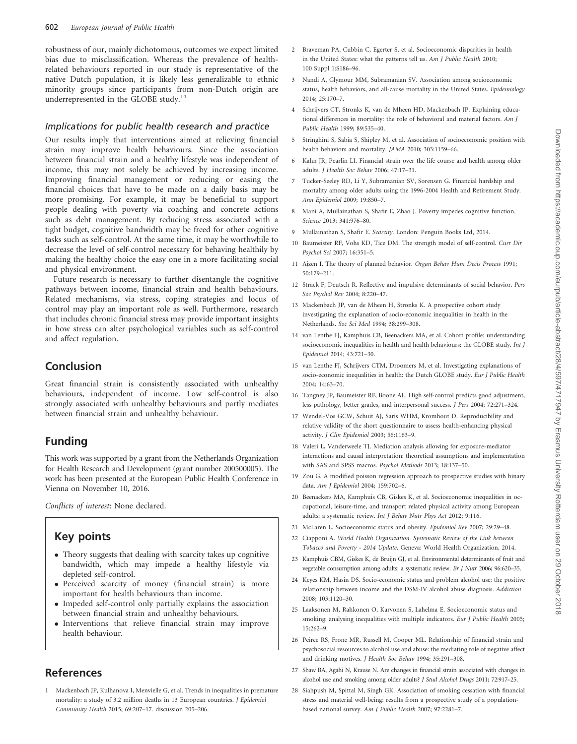robustness of our, mainly dichotomous, outcomes we expect limited bias due to misclassification. Whereas the prevalence of healthrelated behaviours reported in our study is representative of the native Dutch population, it is likely less generalizable to ethnic minority groups since participants from non-Dutch origin are underrepresented in the GLOBE study.<sup>14</sup>

### Implications for public health research and practice

Our results imply that interventions aimed at relieving financial strain may improve health behaviours. Since the association between financial strain and a healthy lifestyle was independent of income, this may not solely be achieved by increasing income. Improving financial management or reducing or easing the financial choices that have to be made on a daily basis may be more promising. For example, it may be beneficial to support people dealing with poverty via coaching and concrete actions such as debt management. By reducing stress associated with a tight budget, cognitive bandwidth may be freed for other cognitive tasks such as self-control. At the same time, it may be worthwhile to decrease the level of self-control necessary for behaving healthily by making the healthy choice the easy one in a more facilitating social and physical environment.

Future research is necessary to further disentangle the cognitive pathways between income, financial strain and health behaviours. Related mechanisms, via stress, coping strategies and locus of control may play an important role as well. Furthermore, research that includes chronic financial stress may provide important insights in how stress can alter psychological variables such as self-control and affect regulation.

## Conclusion

Great financial strain is consistently associated with unhealthy behaviours, independent of income. Low self-control is also strongly associated with unhealthy behaviours and partly mediates between financial strain and unhealthy behaviour.

# Funding

This work was supported by a grant from the Netherlands Organization for Health Research and Development (grant number 200500005). The work has been presented at the European Public Health Conference in Vienna on November 10, 2016.

Conflicts of interest: None declared.

# Key points

- Theory suggests that dealing with scarcity takes up cognitive bandwidth, which may impede a healthy lifestyle via depleted self-control.
- Perceived scarcity of money (financial strain) is more important for health behaviours than income.
- Impeded self-control only partially explains the association between financial strain and unhealthy behaviours.
- Interventions that relieve financial strain may improve health behaviour.

# References

1 Mackenbach JP, Kulhanova I, Menvielle G, et al. Trends in inequalities in premature mortality: a study of 3.2 million deaths in 13 European countries. J Epidemiol Community Health 2015; 69:207–17. discussion 205–206.

- 2 Braveman PA, Cubbin C, Egerter S, et al. Socioeconomic disparities in health in the United States: what the patterns tell us. Am J Public Health 2010; 100 Suppl 1:S186–96.
- 3 Nandi A, Glymour MM, Subramanian SV. Association among socioeconomic status, health behaviors, and all-cause mortality in the United States. Epidemiology 2014; 25:170–7.
- 4 Schrijvers CT, Stronks K, van de Mheen HD, Mackenbach JP. Explaining educational differences in mortality: the role of behavioral and material factors. Am J Public Health 1999; 89:535–40.
- 5 Stringhini S, Sabia S, Shipley M, et al. Association of socioeconomic position with health behaviors and mortality. JAMA 2010; 303:1159–66.
- 6 Kahn JR, Pearlin LI. Financial strain over the life course and health among older adults. J Health Soc Behav 2006; 47:17–31.
- 7 Tucker-Seeley RD, Li Y, Subramanian SV, Sorensen G. Financial hardship and mortality among older adults using the 1996-2004 Health and Retirement Study. Ann Epidemiol 2009; 19:850–7.
- 8 Mani A, Mullainathan S, Shafir E, Zhao J. Poverty impedes cognitive function. Science 2013; 341:976–80.
- 9 Mullainathan S, Shafir E. Scarcity. London: Penguin Books Ltd, 2014.
- 10 Baumeister RF, Vohs KD, Tice DM. The strength model of self-control. Curr Dir Psychol Sci 2007; 16:351–5.
- 11 Ajzen I. The theory of planned behavior. Organ Behav Hum Decis Process 1991; 50:179–211.
- 12 Strack F, Deutsch R. Reflective and impulsive determinants of social behavior. Pers Soc Psychol Rev 2004; 8:220–47.
- 13 Mackenbach JP, van de Mheen H, Stronks K. A prospective cohort study investigating the explanation of socio-economic inequalities in health in the Netherlands. Soc Sci Med 1994; 38:299–308.
- 14 van Lenthe FJ, Kamphuis CB, Beenackers MA, et al. Cohort profile: understanding socioeconomic inequalities in health and health behaviours: the GLOBE study. Int J Epidemiol 2014; 43:721–30.
- 15 van Lenthe FJ, Schrijvers CTM, Droomers M, et al. Investigating explanations of socio-economic inequalities in health: the Dutch GLOBE study. Eur J Public Health 2004; 14:63–70.
- 16 Tangney JP, Baumeister RF, Boone AL. High self-control predicts good adjustment, less pathology, better grades, and interpersonal success. J Pers 2004; 72:271–324.
- 17 Wendel-Vos GCW, Schuit AJ, Saris WHM, Kromhout D. Reproducibility and relative validity of the short questionnaire to assess health-enhancing physical activity. J Clin Epidemiol 2003; 56:1163–9.
- 18 Valeri L, Vanderweele TJ. Mediation analysis allowing for exposure-mediator interactions and causal interpretation: theoretical assumptions and implementation with SAS and SPSS macros. Psychol Methods 2013; 18:137–50.
- 19 Zou G. A modified poisson regression approach to prospective studies with binary data. Am J Epidemiol 2004; 159:702–6.
- 20 Beenackers MA, Kamphuis CB, Giskes K, et al. Socioeconomic inequalities in occupational, leisure-time, and transport related physical activity among European adults: a systematic review. Int J Behav Nutr Phys Act 2012; 9:116.
- 21 McLaren L. Socioeconomic status and obesity. Epidemiol Rev 2007; 29:29–48.
- 22 Ciapponi A. World Health Organization. Systematic Review of the Link between Tobacco and Poverty - 2014 Update. Geneva: World Health Organization, 2014.
- 23 Kamphuis CBM, Giskes K, de Bruijn GJ, et al. Environmental determinants of fruit and vegetable consumption among adults: a systematic review. Br J Nutr 2006; 96:620–35.
- 24 Keyes KM, Hasin DS. Socio-economic status and problem alcohol use: the positive relationship between income and the DSM-IV alcohol abuse diagnosis. Addiction 2008; 103:1120–30.
- 25 Laaksonen M, Rahkonen O, Karvonen S, Lahelma E. Socioeconomic status and smoking: analysing inequalities with multiple indicators. Eur J Public Health 2005; 15:262–9.
- 26 Peirce RS, Frone MR, Russell M, Cooper ML. Relationship of financial strain and psychosocial resources to alcohol use and abuse: the mediating role of negative affect and drinking motives. J Health Soc Behav 1994; 35:291–308.
- 27 Shaw BA, Agahi N, Krause N. Are changes in financial strain associated with changes in alcohol use and smoking among older adults? J Stud Alcohol Drugs 2011; 72:917–25.
- 28 Siahpush M, Spittal M, Singh GK. Association of smoking cessation with financial stress and material well-being: results from a prospective study of a populationbased national survey. Am J Public Health 2007; 97:2281–7.